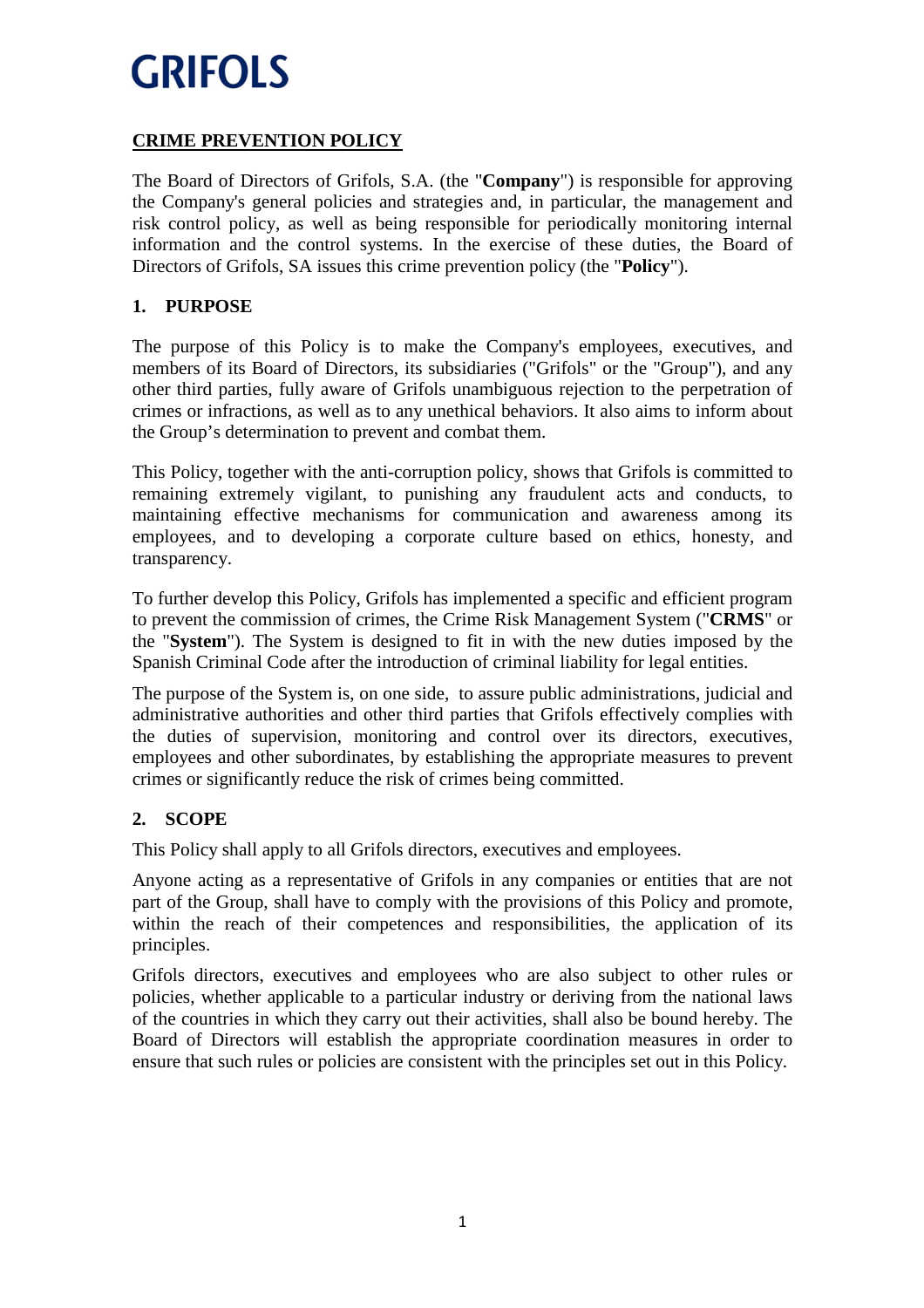### **CRIME PREVENTION POLICY**

The Board of Directors of Grifols, S.A. (the "**Company**") is responsible for approving the Company's general policies and strategies and, in particular, the management and risk control policy, as well as being responsible for periodically monitoring internal information and the control systems. In the exercise of these duties, the Board of Directors of Grifols, SA issues this crime prevention policy (the "**Policy**").

### **1. PURPOSE**

The purpose of this Policy is to make the Company's employees, executives, and members of its Board of Directors, its subsidiaries ("Grifols" or the "Group"), and any other third parties, fully aware of Grifols unambiguous rejection to the perpetration of crimes or infractions, as well as to any unethical behaviors. It also aims to inform about the Group's determination to prevent and combat them.

This Policy, together with the anti-corruption policy, shows that Grifols is committed to remaining extremely vigilant, to punishing any fraudulent acts and conducts, to maintaining effective mechanisms for communication and awareness among its employees, and to developing a corporate culture based on ethics, honesty, and transparency.

To further develop this Policy, Grifols has implemented a specific and efficient program to prevent the commission of crimes, the Crime Risk Management System ("**CRMS**" or the "**System**"). The System is designed to fit in with the new duties imposed by the Spanish Criminal Code after the introduction of criminal liability for legal entities.

The purpose of the System is, on one side, to assure public administrations, judicial and administrative authorities and other third parties that Grifols effectively complies with the duties of supervision, monitoring and control over its directors, executives, employees and other subordinates, by establishing the appropriate measures to prevent crimes or significantly reduce the risk of crimes being committed.

### **2. SCOPE**

This Policy shall apply to all Grifols directors, executives and employees.

Anyone acting as a representative of Grifols in any companies or entities that are not part of the Group, shall have to comply with the provisions of this Policy and promote, within the reach of their competences and responsibilities, the application of its principles.

Grifols directors, executives and employees who are also subject to other rules or policies, whether applicable to a particular industry or deriving from the national laws of the countries in which they carry out their activities, shall also be bound hereby. The Board of Directors will establish the appropriate coordination measures in order to ensure that such rules or policies are consistent with the principles set out in this Policy.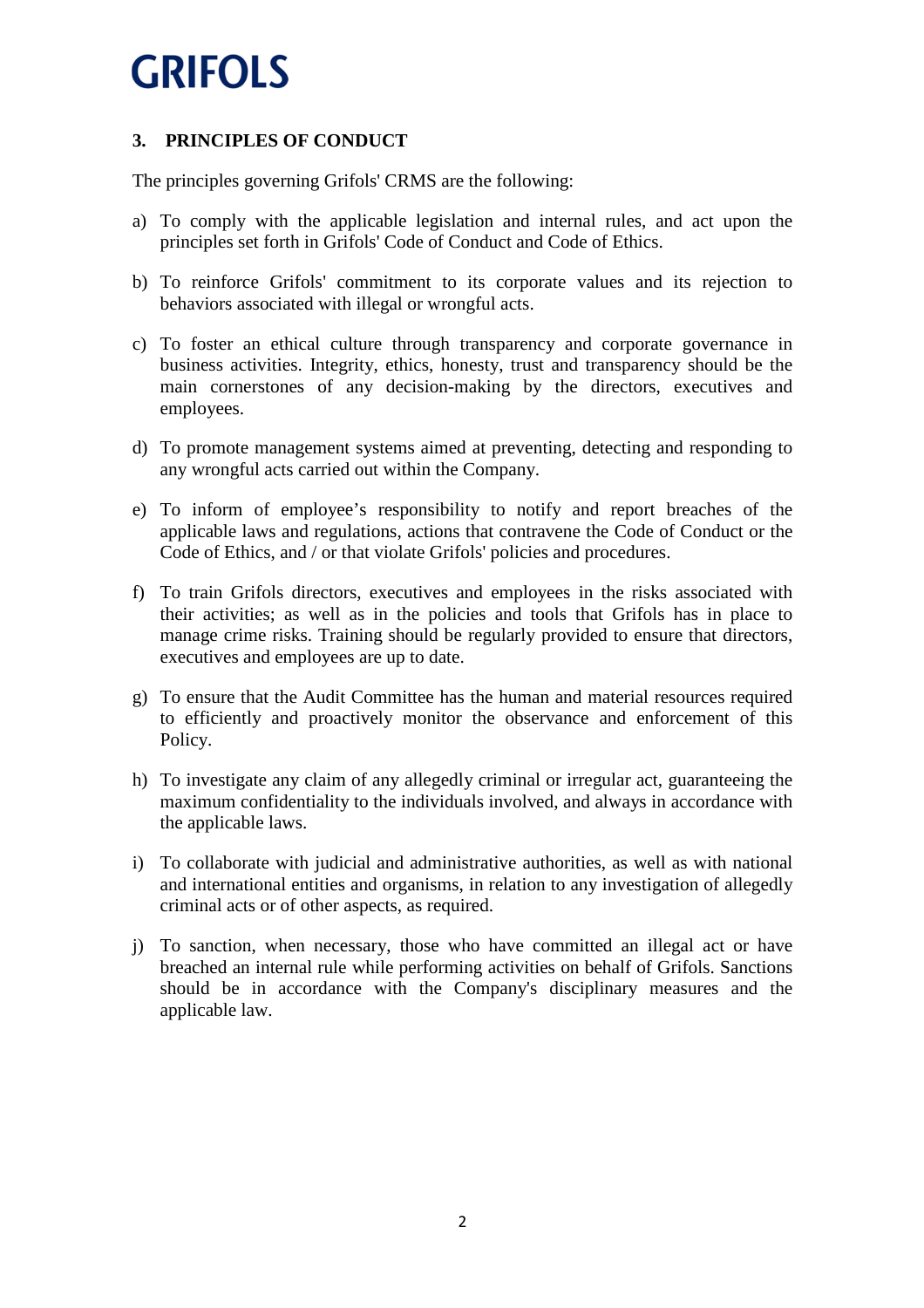### **3. PRINCIPLES OF CONDUCT**

The principles governing Grifols' CRMS are the following:

- a) To comply with the applicable legislation and internal rules, and act upon the principles set forth in Grifols' Code of Conduct and Code of Ethics.
- b) To reinforce Grifols' commitment to its corporate values and its rejection to behaviors associated with illegal or wrongful acts.
- c) To foster an ethical culture through transparency and corporate governance in business activities. Integrity, ethics, honesty, trust and transparency should be the main cornerstones of any decision-making by the directors, executives and employees.
- d) To promote management systems aimed at preventing, detecting and responding to any wrongful acts carried out within the Company.
- e) To inform of employee's responsibility to notify and report breaches of the applicable laws and regulations, actions that contravene the Code of Conduct or the Code of Ethics, and / or that violate Grifols' policies and procedures.
- f) To train Grifols directors, executives and employees in the risks associated with their activities; as well as in the policies and tools that Grifols has in place to manage crime risks. Training should be regularly provided to ensure that directors, executives and employees are up to date.
- g) To ensure that the Audit Committee has the human and material resources required to efficiently and proactively monitor the observance and enforcement of this Policy.
- h) To investigate any claim of any allegedly criminal or irregular act, guaranteeing the maximum confidentiality to the individuals involved, and always in accordance with the applicable laws.
- i) To collaborate with judicial and administrative authorities, as well as with national and international entities and organisms, in relation to any investigation of allegedly criminal acts or of other aspects, as required.
- j) To sanction, when necessary, those who have committed an illegal act or have breached an internal rule while performing activities on behalf of Grifols. Sanctions should be in accordance with the Company's disciplinary measures and the applicable law.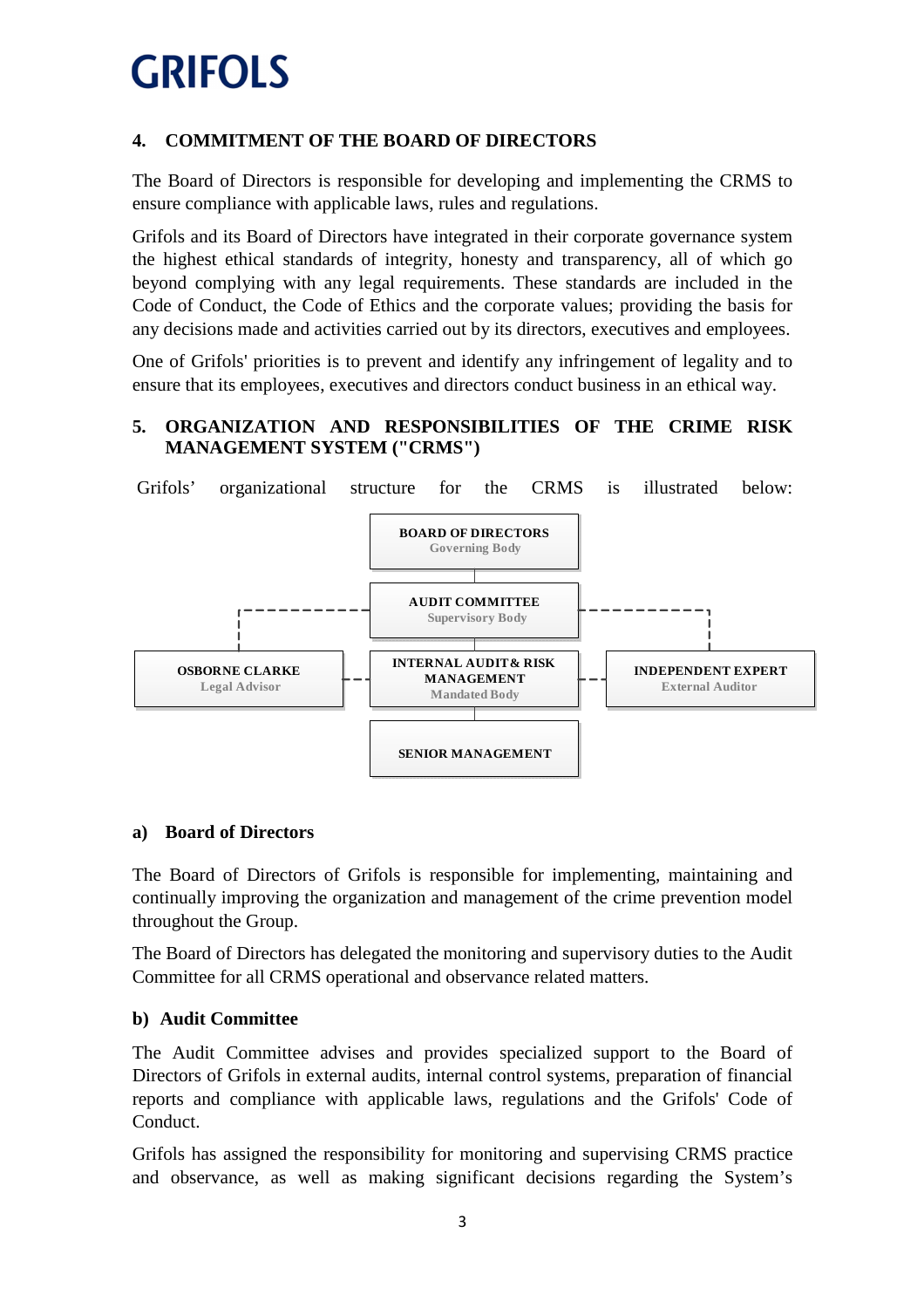### **4. COMMITMENT OF THE BOARD OF DIRECTORS**

The Board of Directors is responsible for developing and implementing the CRMS to ensure compliance with applicable laws, rules and regulations.

Grifols and its Board of Directors have integrated in their corporate governance system the highest ethical standards of integrity, honesty and transparency, all of which go beyond complying with any legal requirements. These standards are included in the Code of Conduct, the Code of Ethics and the corporate values; providing the basis for any decisions made and activities carried out by its directors, executives and employees.

One of Grifols' priorities is to prevent and identify any infringement of legality and to ensure that its employees, executives and directors conduct business in an ethical way.

### **5. ORGANIZATION AND RESPONSIBILITIES OF THE CRIME RISK MANAGEMENT SYSTEM ("CRMS")**



#### **a) Board of Directors**

The Board of Directors of Grifols is responsible for implementing, maintaining and continually improving the organization and management of the crime prevention model throughout the Group.

The Board of Directors has delegated the monitoring and supervisory duties to the Audit Committee for all CRMS operational and observance related matters.

#### **b) Audit Committee**

The Audit Committee advises and provides specialized support to the Board of Directors of Grifols in external audits, internal control systems, preparation of financial reports and compliance with applicable laws, regulations and the Grifols' Code of Conduct.

Grifols has assigned the responsibility for monitoring and supervising CRMS practice and observance, as well as making significant decisions regarding the System's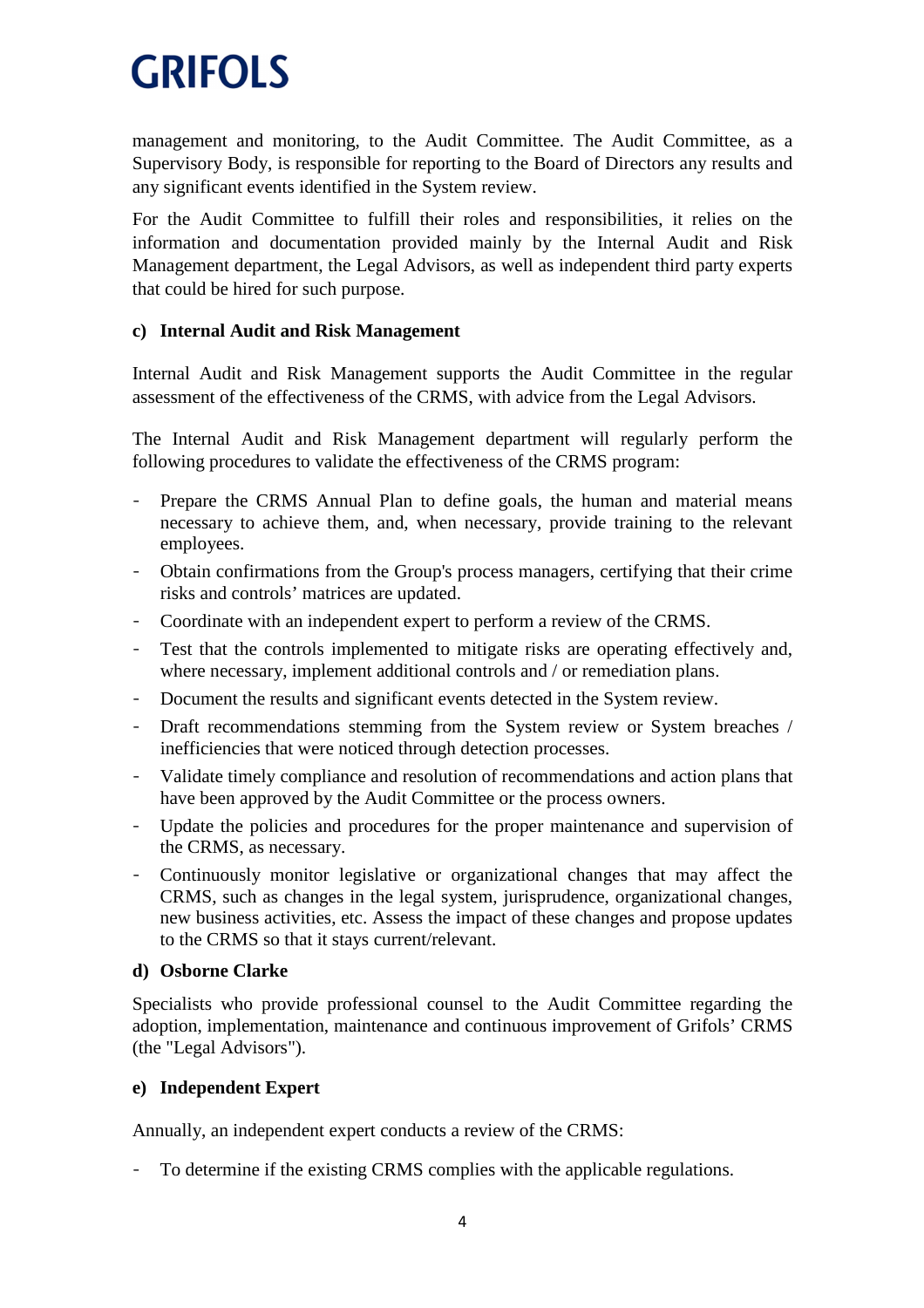management and monitoring, to the Audit Committee. The Audit Committee, as a Supervisory Body, is responsible for reporting to the Board of Directors any results and any significant events identified in the System review.

For the Audit Committee to fulfill their roles and responsibilities, it relies on the information and documentation provided mainly by the Internal Audit and Risk Management department, the Legal Advisors, as well as independent third party experts that could be hired for such purpose.

#### **c) Internal Audit and Risk Management**

Internal Audit and Risk Management supports the Audit Committee in the regular assessment of the effectiveness of the CRMS, with advice from the Legal Advisors.

The Internal Audit and Risk Management department will regularly perform the following procedures to validate the effectiveness of the CRMS program:

- Prepare the CRMS Annual Plan to define goals, the human and material means necessary to achieve them, and, when necessary, provide training to the relevant employees.
- Obtain confirmations from the Group's process managers, certifying that their crime risks and controls' matrices are updated.
- Coordinate with an independent expert to perform a review of the CRMS.
- Test that the controls implemented to mitigate risks are operating effectively and, where necessary, implement additional controls and / or remediation plans.
- Document the results and significant events detected in the System review.
- Draft recommendations stemming from the System review or System breaches / inefficiencies that were noticed through detection processes.
- Validate timely compliance and resolution of recommendations and action plans that have been approved by the Audit Committee or the process owners.
- Update the policies and procedures for the proper maintenance and supervision of the CRMS, as necessary.
- Continuously monitor legislative or organizational changes that may affect the CRMS, such as changes in the legal system, jurisprudence, organizational changes, new business activities, etc. Assess the impact of these changes and propose updates to the CRMS so that it stays current/relevant.

#### **d) Osborne Clarke**

Specialists who provide professional counsel to the Audit Committee regarding the adoption, implementation, maintenance and continuous improvement of Grifols' CRMS (the "Legal Advisors").

#### **e) Independent Expert**

Annually, an independent expert conducts a review of the CRMS:

To determine if the existing CRMS complies with the applicable regulations.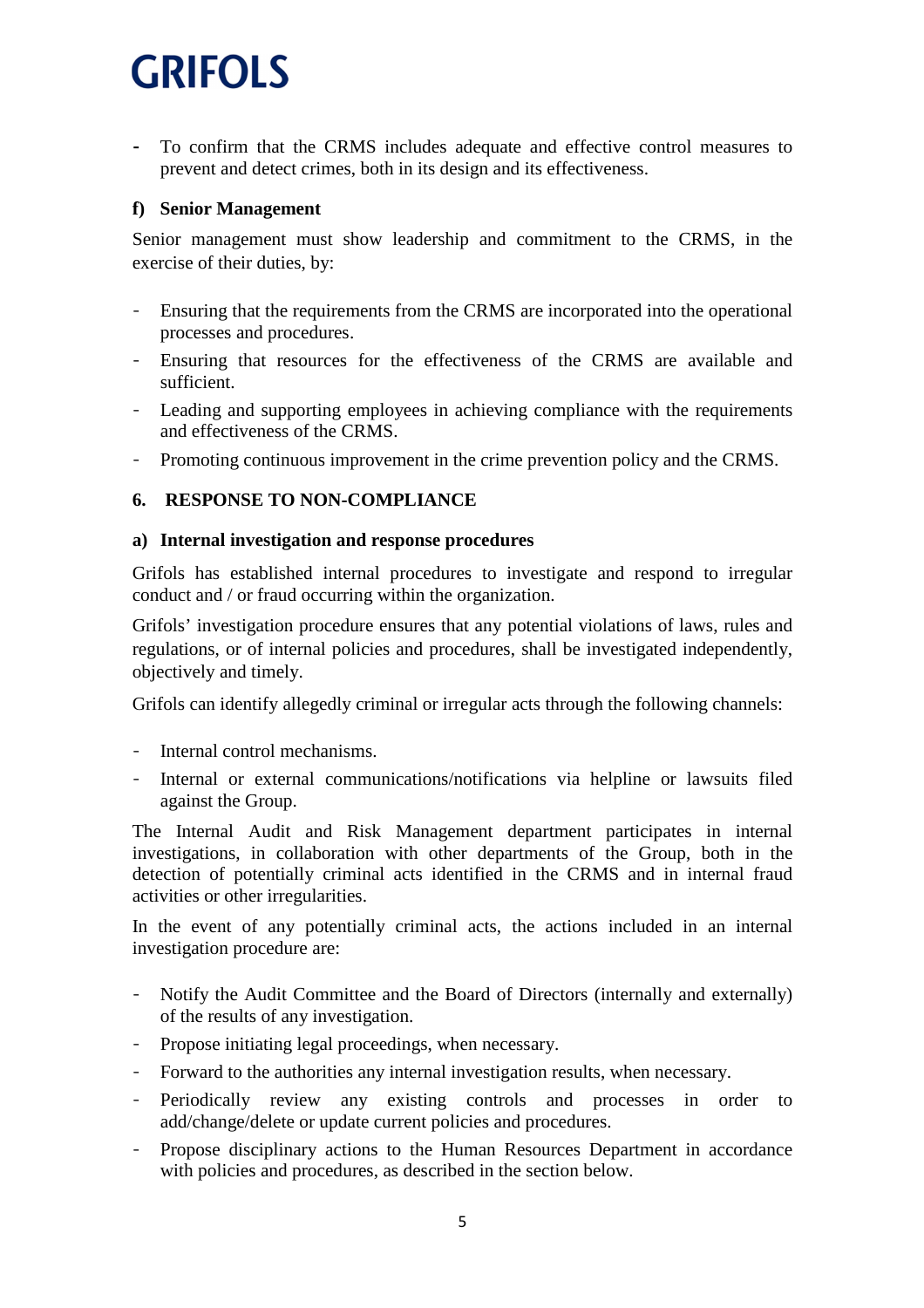To confirm that the CRMS includes adequate and effective control measures to prevent and detect crimes, both in its design and its effectiveness.

#### **f) Senior Management**

Senior management must show leadership and commitment to the CRMS, in the exercise of their duties, by:

- Ensuring that the requirements from the CRMS are incorporated into the operational processes and procedures.
- Ensuring that resources for the effectiveness of the CRMS are available and sufficient.
- Leading and supporting employees in achieving compliance with the requirements and effectiveness of the CRMS.
- Promoting continuous improvement in the crime prevention policy and the CRMS.

#### **6. RESPONSE TO NON-COMPLIANCE**

#### **a) Internal investigation and response procedures**

Grifols has established internal procedures to investigate and respond to irregular conduct and / or fraud occurring within the organization.

Grifols' investigation procedure ensures that any potential violations of laws, rules and regulations, or of internal policies and procedures, shall be investigated independently, objectively and timely.

Grifols can identify allegedly criminal or irregular acts through the following channels:

- Internal control mechanisms.
- Internal or external communications/notifications via helpline or lawsuits filed against the Group.

The Internal Audit and Risk Management department participates in internal investigations, in collaboration with other departments of the Group, both in the detection of potentially criminal acts identified in the CRMS and in internal fraud activities or other irregularities.

In the event of any potentially criminal acts, the actions included in an internal investigation procedure are:

- Notify the Audit Committee and the Board of Directors (internally and externally) of the results of any investigation.
- Propose initiating legal proceedings, when necessary.
- Forward to the authorities any internal investigation results, when necessary.
- Periodically review any existing controls and processes in order to add/change/delete or update current policies and procedures.
- Propose disciplinary actions to the Human Resources Department in accordance with policies and procedures, as described in the section below.